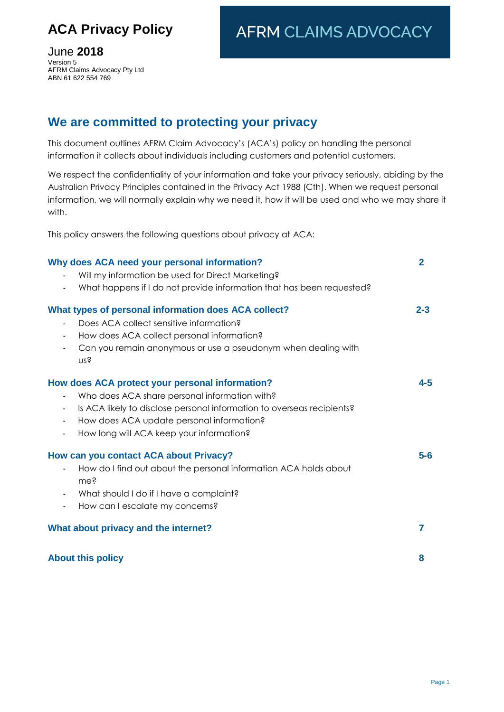# **ACA Privacy Policy**

**AFRM CLAIMS ADVOCACY** 

June **2018** Version 5 AFRM Claims Advocacy Pty Ltd ABN 61 622 554 769

# **We are committed to protecting your privacy**

This document outlines AFRM Claim Advocacy's (ACA's) policy on handling the personal information it collects about individuals including customers and potential customers.

We respect the confidentiality of your information and take your privacy seriously, abiding by the Australian Privacy Principles contained in the Privacy Act 1988 (Cth). When we request personal information, we will normally explain why we need it, how it will be used and who we may share it with.

This policy answers the following questions about privacy at ACA:

| Why does ACA need your personal information?                                             | $\overline{2}$ |
|------------------------------------------------------------------------------------------|----------------|
| Will my information be used for Direct Marketing?                                        |                |
| What happens if I do not provide information that has been requested?                    |                |
| What types of personal information does ACA collect?                                     | $2 - 3$        |
| Does ACA collect sensitive information?                                                  |                |
| How does ACA collect personal information?                                               |                |
| Can you remain anonymous or use a pseudonym when dealing with<br>nss                     |                |
| How does ACA protect your personal information?                                          | $4 - 5$        |
| Who does ACA share personal information with?                                            |                |
| Is ACA likely to disclose personal information to overseas recipients?<br>$\blacksquare$ |                |
| How does ACA update personal information?<br>$\blacksquare$                              |                |
| How long will ACA keep your information?<br>$\blacksquare$                               |                |
| How can you contact ACA about Privacy?                                                   | $5-6$          |
| How do I find out about the personal information ACA holds about<br>me?                  |                |
| What should I do if I have a complaint?                                                  |                |
| How can I escalate my concerns?                                                          |                |
| What about privacy and the internet?                                                     | 7              |
| <b>About this policy</b>                                                                 | 8              |
|                                                                                          |                |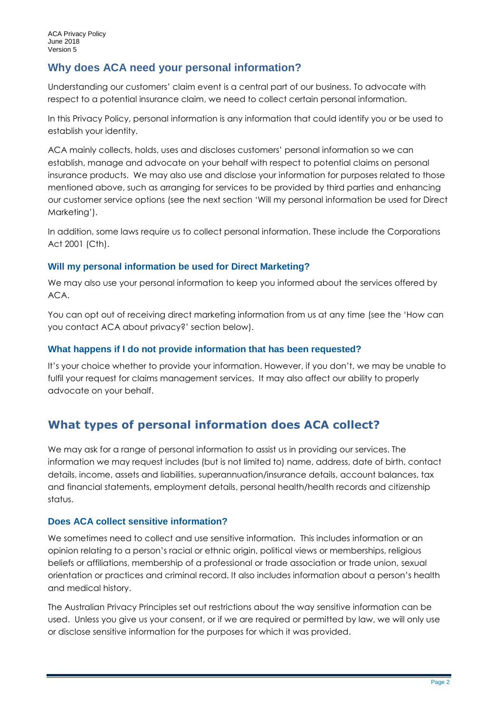# **Why does ACA need your personal information?**

Understanding our customers' claim event is a central part of our business. To advocate with respect to a potential insurance claim, we need to collect certain personal information.

In this Privacy Policy, personal information is any information that could identify you or be used to establish your identity.

ACA mainly collects, holds, uses and discloses customers' personal information so we can establish, manage and advocate on your behalf with respect to potential claims on personal insurance products. We may also use and disclose your information for purposes related to those mentioned above, such as arranging for services to be provided by third parties and enhancing our customer service options (see the next section 'Will my personal information be used for Direct Marketing').

In addition, some laws require us to collect personal information. These include the Corporations Act 2001 (Cth).

#### **Will my personal information be used for Direct Marketing?**

We may also use your personal information to keep you informed about the services offered by ACA.

You can opt out of receiving direct marketing information from us at any time (see the 'How can you contact ACA about privacy?' section below).

#### **What happens if I do not provide information that has been requested?**

It's your choice whether to provide your information. However, if you don't, we may be unable to fulfil your request for claims management services. It may also affect our ability to properly advocate on your behalf.

# **What types of personal information does ACA collect?**

We may ask for a range of personal information to assist us in providing our services. The information we may request includes (but is not limited to) name, address, date of birth, contact details, income, assets and liabilities, superannuation/insurance details, account balances, tax and financial statements, employment details, personal health/health records and citizenship status.

### **Does ACA collect sensitive information?**

We sometimes need to collect and use sensitive information. This includes information or an opinion relating to a person's racial or ethnic origin, political views or memberships, religious beliefs or affiliations, membership of a professional or trade association or trade union, sexual orientation or practices and criminal record. It also includes information about a person's health and medical history.

The Australian Privacy Principles set out restrictions about the way sensitive information can be used. Unless you give us your consent, or if we are required or permitted by law, we will only use or disclose sensitive information for the purposes for which it was provided.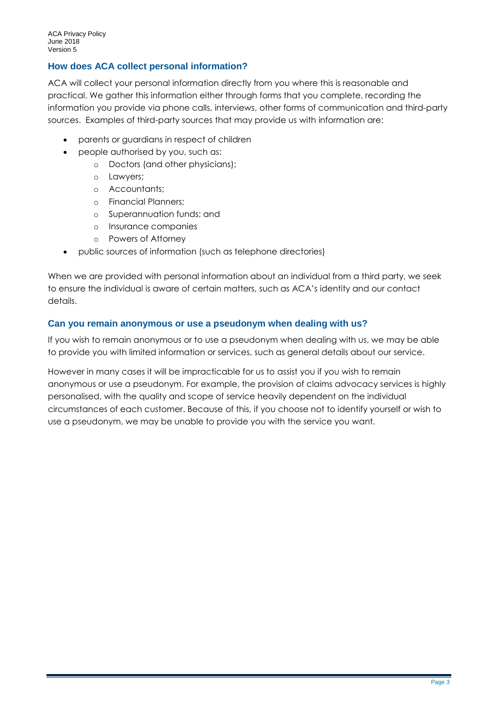### **How does ACA collect personal information?**

ACA will collect your personal information directly from you where this is reasonable and practical. We gather this information either through forms that you complete, recording the information you provide via phone calls, interviews, other forms of communication and third-party sources. Examples of third-party sources that may provide us with information are:

- parents or guardians in respect of children
- people authorised by you, such as:
	- o Doctors (and other physicians);
	- o Lawyers;
	- o Accountants;
	- o Financial Planners;
	- o Superannuation funds; and
	- o Insurance companies
	- o Powers of Attorney
- public sources of information (such as telephone directories)

When we are provided with personal information about an individual from a third party, we seek to ensure the individual is aware of certain matters, such as ACA's identity and our contact details.

#### **Can you remain anonymous or use a pseudonym when dealing with us?**

If you wish to remain anonymous or to use a pseudonym when dealing with us, we may be able to provide you with limited information or services, such as general details about our service.

However in many cases it will be impracticable for us to assist you if you wish to remain anonymous or use a pseudonym. For example, the provision of claims advocacy services is highly personalised, with the quality and scope of service heavily dependent on the individual circumstances of each customer. Because of this, if you choose not to identify yourself or wish to use a pseudonym, we may be unable to provide you with the service you want.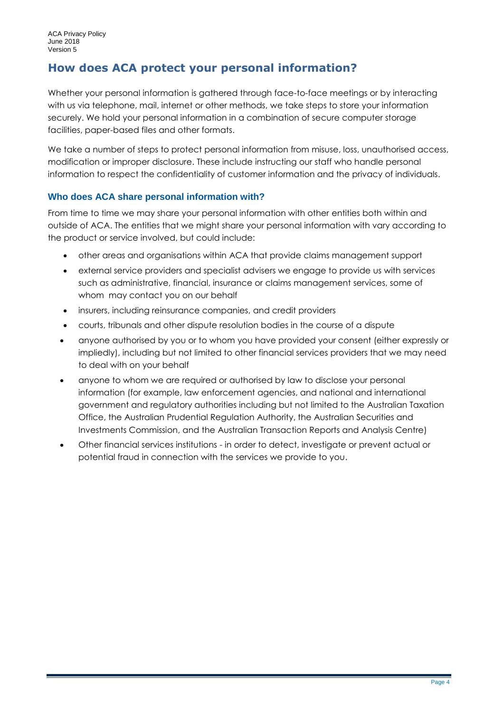# **How does ACA protect your personal information?**

Whether your personal information is gathered through face-to-face meetings or by interacting with us via telephone, mail, internet or other methods, we take steps to store your information securely. We hold your personal information in a combination of secure computer storage facilities, paper-based files and other formats.

We take a number of steps to protect personal information from misuse, loss, unauthorised access, modification or improper disclosure. These include instructing our staff who handle personal information to respect the confidentiality of customer information and the privacy of individuals.

### **Who does ACA share personal information with?**

From time to time we may share your personal information with other entities both within and outside of ACA. The entities that we might share your personal information with vary according to the product or service involved, but could include:

- other areas and organisations within ACA that provide claims management support
- external service providers and specialist advisers we engage to provide us with services such as administrative, financial, insurance or claims management services, some of whom may contact you on our behalf
- insurers, including reinsurance companies, and credit providers
- courts, tribunals and other dispute resolution bodies in the course of a dispute
- anyone authorised by you or to whom you have provided your consent (either expressly or impliedly), including but not limited to other financial services providers that we may need to deal with on your behalf
- anyone to whom we are required or authorised by law to disclose your personal information (for example, law enforcement agencies, and national and international government and regulatory authorities including but not limited to the Australian Taxation Office, the Australian Prudential Regulation Authority, the Australian Securities and Investments Commission, and the Australian Transaction Reports and Analysis Centre)
- Other financial services institutions in order to detect, investigate or prevent actual or potential fraud in connection with the services we provide to you.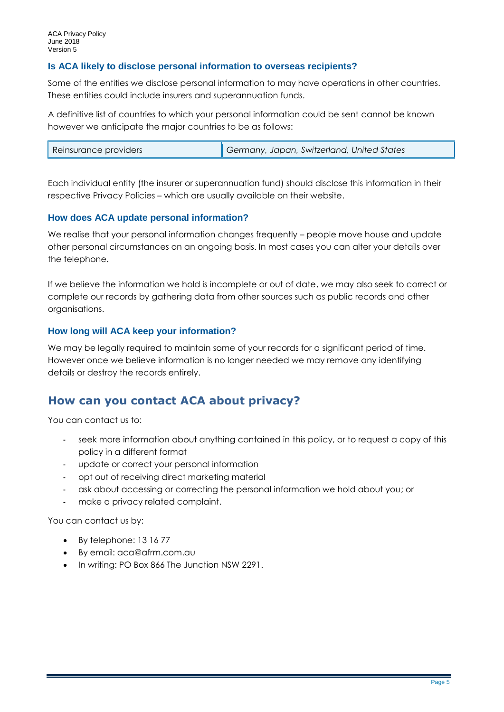#### **Is ACA likely to disclose personal information to overseas recipients?**

Some of the entities we disclose personal information to may have operations in other countries. These entities could include insurers and superannuation funds.

A definitive list of countries to which your personal information could be sent cannot be known however we anticipate the major countries to be as follows:

| Germany, Japan, Switzerland, United States<br>Reinsurance providers |  |
|---------------------------------------------------------------------|--|
|---------------------------------------------------------------------|--|

Each individual entity (the insurer or superannuation fund) should disclose this information in their respective Privacy Policies – which are usually available on their website.

#### **How does ACA update personal information?**

We realise that your personal information changes frequently – people move house and update other personal circumstances on an ongoing basis. In most cases you can alter your details over the telephone.

If we believe the information we hold is incomplete or out of date, we may also seek to correct or complete our records by gathering data from other sources such as public records and other organisations.

#### **How long will ACA keep your information?**

We may be legally required to maintain some of your records for a significant period of time. However once we believe information is no longer needed we may remove any identifying details or destroy the records entirely.

# **How can you contact ACA about privacy?**

You can contact us to:

- seek more information about anything contained in this policy, or to request a copy of this policy in a different format
- update or correct your personal information
- opt out of receiving direct marketing material
- ask about accessing or correcting the personal information we hold about you; or
- make a privacy related complaint.

You can contact us by:

- By telephone: 13 16 77
- By email: aca@afrm.com.au
- In writing: PO Box 866 The Junction NSW 2291.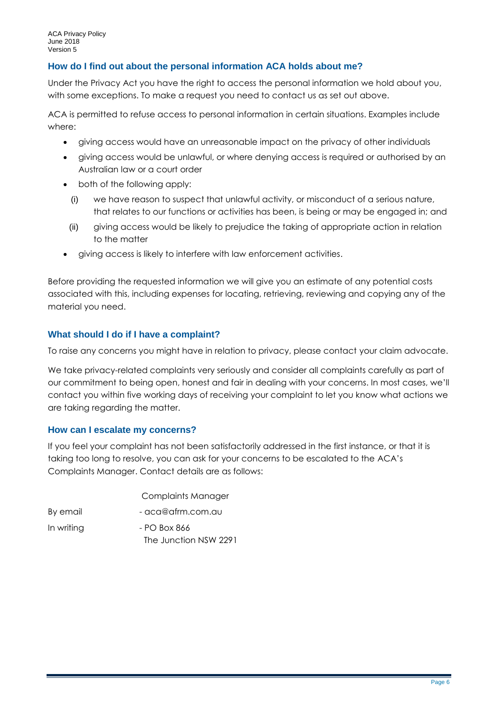#### **How do I find out about the personal information ACA holds about me?**

Under the Privacy Act you have the right to access the personal information we hold about you, with some exceptions. To make a request you need to contact us as set out above.

ACA is permitted to refuse access to personal information in certain situations. Examples include where:

- giving access would have an unreasonable impact on the privacy of other individuals
- giving access would be unlawful, or where denying access is required or authorised by an Australian law or a court order
- both of the following apply:
	- (i) we have reason to suspect that unlawful activity, or misconduct of a serious nature, that relates to our functions or activities has been, is being or may be engaged in; and
	- (ii) giving access would be likely to prejudice the taking of appropriate action in relation to the matter
- giving access is likely to interfere with law enforcement activities.

Before providing the requested information we will give you an estimate of any potential costs associated with this, including expenses for locating, retrieving, reviewing and copying any of the material you need.

#### **What should I do if I have a complaint?**

To raise any concerns you might have in relation to privacy, please contact your claim advocate.

We take privacy-related complaints very seriously and consider all complaints carefully as part of our commitment to being open, honest and fair in dealing with your concerns. In most cases, we'll contact you within five working days of receiving your complaint to let you know what actions we are taking regarding the matter.

#### **How can I escalate my concerns?**

If you feel your complaint has not been satisfactorily addressed in the first instance, or that it is taking too long to resolve, you can ask for your concerns to be escalated to the ACA's Complaints Manager. Contact details are as follows:

|            | Complaints Manager    |
|------------|-----------------------|
| By email   | - aca@afrm.com.au     |
| In writing | - PO Box 866          |
|            | The Junction NSW 2291 |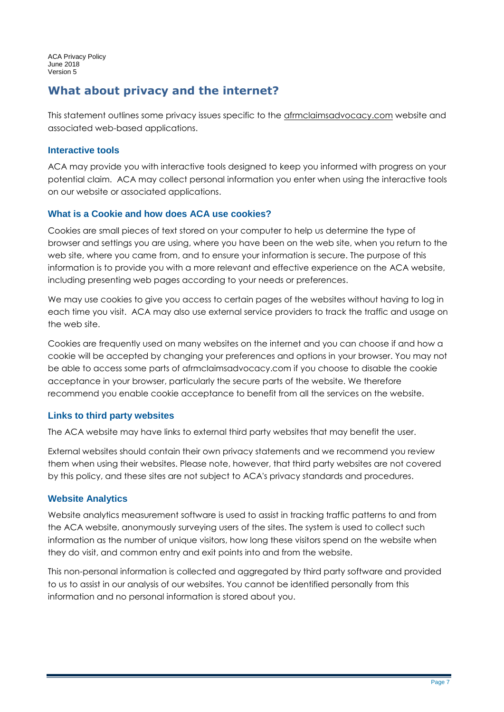ACA Privacy Policy June 2018 Version 5

# **What about privacy and the internet?**

This statement outlines some privacy issues specific to the afrmclaimsadvocacy.com website and associated web-based applications.

#### **Interactive tools**

ACA may provide you with interactive tools designed to keep you informed with progress on your potential claim. ACA may collect personal information you enter when using the interactive tools on our website or associated applications.

### **What is a Cookie and how does ACA use cookies?**

Cookies are small pieces of text stored on your computer to help us determine the type of browser and settings you are using, where you have been on the web site, when you return to the web site, where you came from, and to ensure your information is secure. The purpose of this information is to provide you with a more relevant and effective experience on the ACA website, including presenting web pages according to your needs or preferences.

We may use cookies to give you access to certain pages of the websites without having to log in each time you visit. ACA may also use external service providers to track the traffic and usage on the web site.

Cookies are frequently used on many websites on the internet and you can choose if and how a cookie will be accepted by changing your preferences and options in your browser. You may not be able to access some parts of afrmclaimsadvocacy.com if you choose to disable the cookie acceptance in your browser, particularly the secure parts of the website. We therefore recommend you enable cookie acceptance to benefit from all the services on the website.

### **Links to third party websites**

The ACA website may have links to external third party websites that may benefit the user.

External websites should contain their own privacy statements and we recommend you review them when using their websites. Please note, however, that third party websites are not covered by this policy, and these sites are not subject to ACA's privacy standards and procedures.

#### **Website Analytics**

Website analytics measurement software is used to assist in tracking traffic patterns to and from the ACA website, anonymously surveying users of the sites. The system is used to collect such information as the number of unique visitors, how long these visitors spend on the website when they do visit, and common entry and exit points into and from the website.

This non-personal information is collected and aggregated by third party software and provided to us to assist in our analysis of our websites. You cannot be identified personally from this information and no personal information is stored about you.